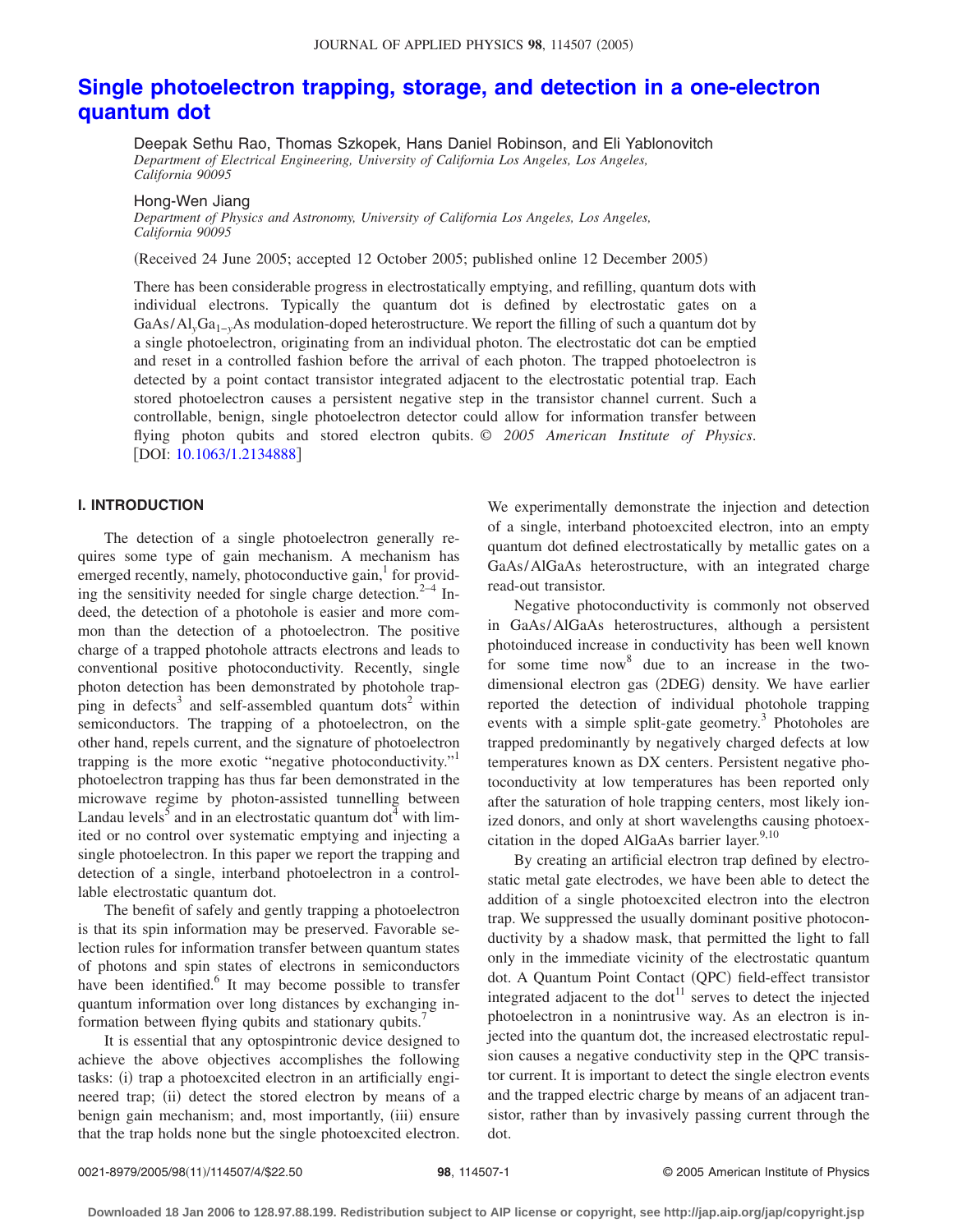# **[Single photoelectron trapping, storage, and detection in a one-electron](http://dx.doi.org/10.1063/1.2134888) [quantum dot](http://dx.doi.org/10.1063/1.2134888)**

Deepak Sethu Rao, Thomas Szkopek, Hans Daniel Robinson, and Eli Yablonovitch *Department of Electrical Engineering, University of California Los Angeles, Los Angeles, California 90095*

Hong-Wen Jiang

*Department of Physics and Astronomy, University of California Los Angeles, Los Angeles, California 90095*

Received 24 June 2005; accepted 12 October 2005; published online 12 December 2005-

There has been considerable progress in electrostatically emptying, and refilling, quantum dots with individual electrons. Typically the quantum dot is defined by electrostatic gates on a GaAs/Al*y*Ga1−*y*As modulation-doped heterostructure. We report the filling of such a quantum dot by a single photoelectron, originating from an individual photon. The electrostatic dot can be emptied and reset in a controlled fashion before the arrival of each photon. The trapped photoelectron is detected by a point contact transistor integrated adjacent to the electrostatic potential trap. Each stored photoelectron causes a persistent negative step in the transistor channel current. Such a controllable, benign, single photoelectron detector could allow for information transfer between flying photon qubits and stored electron qubits. © *2005 American Institute of Physics*. [DOI: [10.1063/1.2134888](http://dx.doi.org/10.1063/1.2134888)]

### **I. INTRODUCTION**

The detection of a single photoelectron generally requires some type of gain mechanism. A mechanism has emerged recently, namely, photoconductive gain,<sup>1</sup> for providing the sensitivity needed for single charge detection.<sup>2–4</sup> Indeed, the detection of a photohole is easier and more common than the detection of a photoelectron. The positive charge of a trapped photohole attracts electrons and leads to conventional positive photoconductivity. Recently, single photon detection has been demonstrated by photohole trapping in defects<sup>3</sup> and self-assembled quantum dots<sup>2</sup> within semiconductors. The trapping of a photoelectron, on the other hand, repels current, and the signature of photoelectron trapping is the more exotic "negative photoconductivity."<sup>1</sup> photoelectron trapping has thus far been demonstrated in the microwave regime by photon-assisted tunnelling between Landau levels $<sup>5</sup>$  and in an electrostatic quantum dot<sup>4</sup> with lim-</sup> ited or no control over systematic emptying and injecting a single photoelectron. In this paper we report the trapping and detection of a single, interband photoelectron in a controllable electrostatic quantum dot.

The benefit of safely and gently trapping a photoelectron is that its spin information may be preserved. Favorable selection rules for information transfer between quantum states of photons and spin states of electrons in semiconductors have been identified.<sup>6</sup> It may become possible to transfer quantum information over long distances by exchanging information between flying qubits and stationary qubits.<sup>7</sup>

It is essential that any optospintronic device designed to achieve the above objectives accomplishes the following tasks: (i) trap a photoexcited electron in an artificially engineered trap; (ii) detect the stored electron by means of a benign gain mechanism; and, most importantly, (iii) ensure that the trap holds none but the single photoexcited electron. We experimentally demonstrate the injection and detection of a single, interband photoexcited electron, into an empty quantum dot defined electrostatically by metallic gates on a GaAs/AlGaAs heterostructure, with an integrated charge read-out transistor.

Negative photoconductivity is commonly not observed in GaAs/AlGaAs heterostructures, although a persistent photoinduced increase in conductivity has been well known for some time now  $\delta$  due to an increase in the twodimensional electron gas (2DEG) density. We have earlier reported the detection of individual photohole trapping events with a simple split-gate geometry.<sup>3</sup> Photoholes are trapped predominantly by negatively charged defects at low temperatures known as DX centers. Persistent negative photoconductivity at low temperatures has been reported only after the saturation of hole trapping centers, most likely ionized donors, and only at short wavelengths causing photoexcitation in the doped AlGaAs barrier layer. $9,10$ 

By creating an artificial electron trap defined by electrostatic metal gate electrodes, we have been able to detect the addition of a single photoexcited electron into the electron trap. We suppressed the usually dominant positive photoconductivity by a shadow mask, that permitted the light to fall only in the immediate vicinity of the electrostatic quantum dot. A Quantum Point Contact (QPC) field-effect transistor integrated adjacent to the dot<sup>11</sup> serves to detect the injected photoelectron in a nonintrusive way. As an electron is injected into the quantum dot, the increased electrostatic repulsion causes a negative conductivity step in the QPC transistor current. It is important to detect the single electron events and the trapped electric charge by means of an adjacent transistor, rather than by invasively passing current through the dot.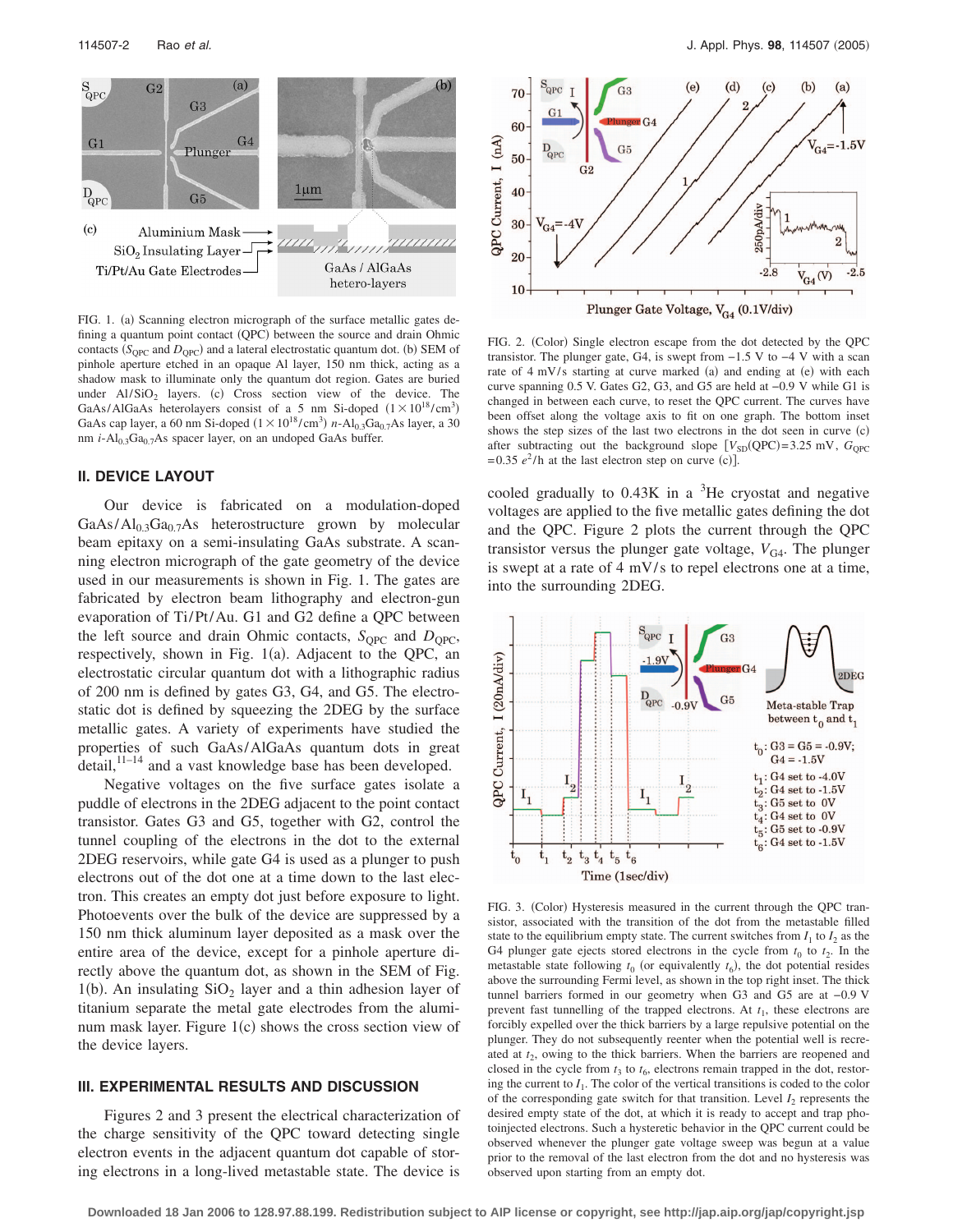

FIG. 1. (a) Scanning electron micrograph of the surface metallic gates defining a quantum point contact (QPC) between the source and drain Ohmic contacts  $(S_{QPC}$  and  $D_{QPC}$ ) and a lateral electrostatic quantum dot. (b) SEM of pinhole aperture etched in an opaque Al layer, 150 nm thick, acting as a shadow mask to illuminate only the quantum dot region. Gates are buried under  $AI/SiO<sub>2</sub>$  layers. (c) Cross section view of the device. The GaAs/AlGaAs heterolayers consist of a 5 nm Si-doped  $(1 \times 10^{18} / \text{cm}^3)$ GaAs cap layer, a 60 nm Si-doped  $(1 \times 10^{18} / \text{cm}^3)$  *n*-Al<sub>0.3</sub>Ga<sub>0.7</sub>As layer, a 30 nm *i*-Al<sub>0.3</sub>Ga<sub>0.7</sub>As spacer layer, on an undoped GaAs buffer.

## **II. DEVICE LAYOUT**

Our device is fabricated on a modulation-doped  $GaAs/Al<sub>0.3</sub>Ga<sub>0.7</sub>As heterostructure grown by molecular$ beam epitaxy on a semi-insulating GaAs substrate. A scanning electron micrograph of the gate geometry of the device used in our measurements is shown in Fig. 1. The gates are fabricated by electron beam lithography and electron-gun evaporation of Ti/Pt/Au. G1 and G2 define a QPC between the left source and drain Ohmic contacts,  $S_{OPC}$  and  $D_{OPC}$ , respectively, shown in Fig. 1(a). Adjacent to the QPC, an electrostatic circular quantum dot with a lithographic radius of 200 nm is defined by gates G3, G4, and G5. The electrostatic dot is defined by squeezing the 2DEG by the surface metallic gates. A variety of experiments have studied the properties of such GaAs/AlGaAs quantum dots in great detail,<sup>11-14</sup> and a vast knowledge base has been developed.

Negative voltages on the five surface gates isolate a puddle of electrons in the 2DEG adjacent to the point contact transistor. Gates G3 and G5, together with G2, control the tunnel coupling of the electrons in the dot to the external 2DEG reservoirs, while gate G4 is used as a plunger to push electrons out of the dot one at a time down to the last electron. This creates an empty dot just before exposure to light. Photoevents over the bulk of the device are suppressed by a 150 nm thick aluminum layer deposited as a mask over the entire area of the device, except for a pinhole aperture directly above the quantum dot, as shown in the SEM of Fig. 1(b). An insulating  $SiO<sub>2</sub>$  layer and a thin adhesion layer of titanium separate the metal gate electrodes from the aluminum mask layer. Figure 1(c) shows the cross section view of the device layers.

#### **III. EXPERIMENTAL RESULTS AND DISCUSSION**

Figures 2 and 3 present the electrical characterization of the charge sensitivity of the QPC toward detecting single electron events in the adjacent quantum dot capable of storing electrons in a long-lived metastable state. The device is



FIG. 2. (Color) Single electron escape from the dot detected by the QPC transistor. The plunger gate, G4, is swept from  $-1.5$  V to  $-4$  V with a scan rate of 4 mV/s starting at curve marked (a) and ending at (e) with each curve spanning 0.5 V. Gates G2, G3, and G5 are held at −0.9 V while G1 is changed in between each curve, to reset the QPC current. The curves have been offset along the voltage axis to fit on one graph. The bottom inset shows the step sizes of the last two electrons in the dot seen in curve (c) after subtracting out the background slope  $[V_{SD}(QPC) = 3.25 \text{ mV}, G_{QPC}]$  $= 0.35 e^2/h$  at the last electron step on curve (c)].

cooled gradually to  $0.43K$  in a  ${}^{3}$ He cryostat and negative voltages are applied to the five metallic gates defining the dot and the QPC. Figure 2 plots the current through the QPC transistor versus the plunger gate voltage,  $V_{\text{G4}}$ . The plunger is swept at a rate of  $4 \text{ mV/s}$  to repel electrons one at a time, into the surrounding 2DEG.



FIG. 3. (Color) Hysteresis measured in the current through the QPC transistor, associated with the transition of the dot from the metastable filled state to the equilibrium empty state. The current switches from  $I_1$  to  $I_2$  as the G4 plunger gate ejects stored electrons in the cycle from  $t_0$  to  $t_2$ . In the metastable state following  $t_0$  (or equivalently  $t_6$ ), the dot potential resides above the surrounding Fermi level, as shown in the top right inset. The thick tunnel barriers formed in our geometry when G3 and G5 are at −0.9 V prevent fast tunnelling of the trapped electrons. At  $t_1$ , these electrons are forcibly expelled over the thick barriers by a large repulsive potential on the plunger. They do not subsequently reenter when the potential well is recreated at  $t_2$ , owing to the thick barriers. When the barriers are reopened and closed in the cycle from  $t_3$  to  $t_6$ , electrons remain trapped in the dot, restoring the current to  $I_1$ . The color of the vertical transitions is coded to the color of the corresponding gate switch for that transition. Level  $I_2$  represents the desired empty state of the dot, at which it is ready to accept and trap photoinjected electrons. Such a hysteretic behavior in the QPC current could be observed whenever the plunger gate voltage sweep was begun at a value prior to the removal of the last electron from the dot and no hysteresis was observed upon starting from an empty dot.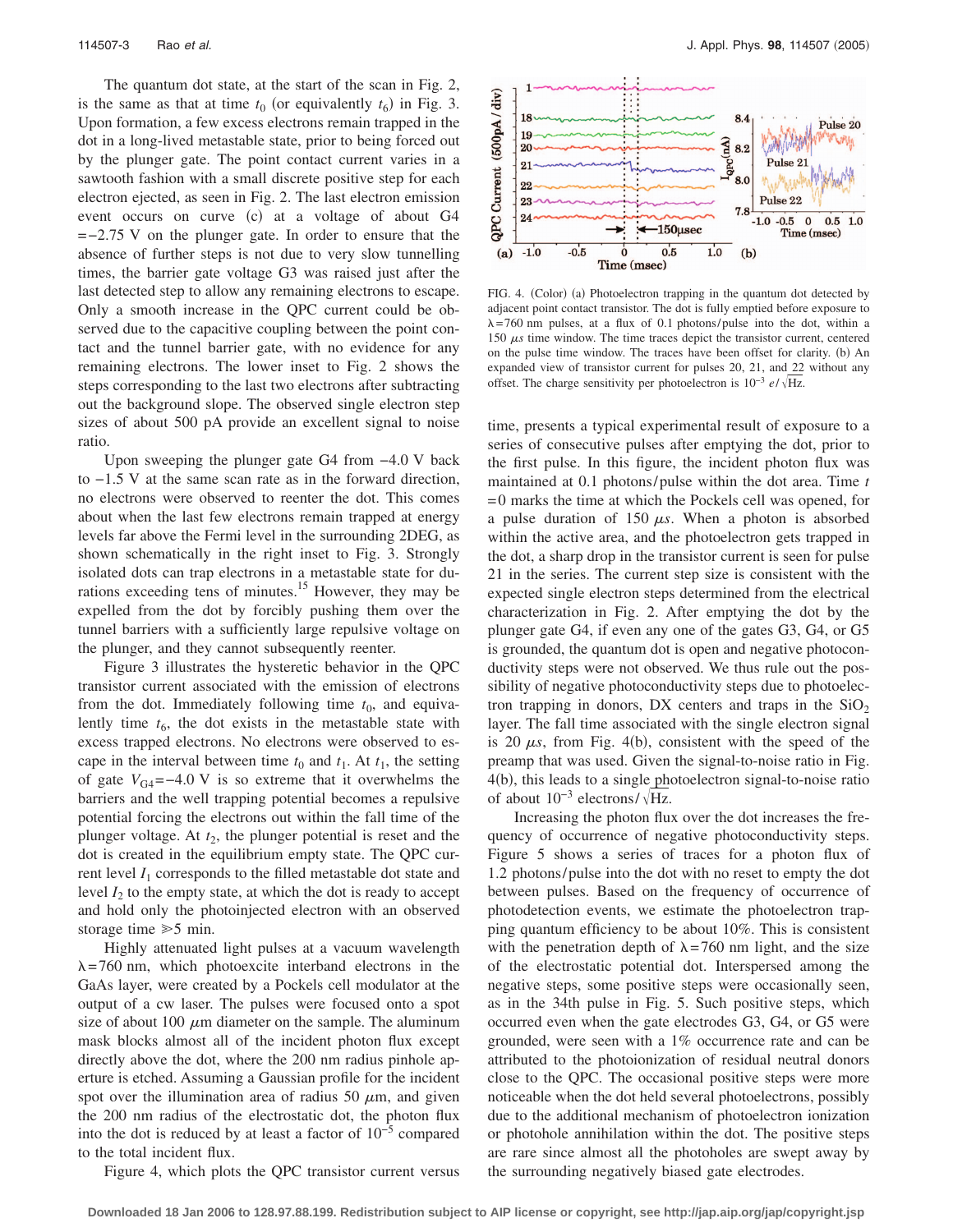The quantum dot state, at the start of the scan in Fig. 2, is the same as that at time  $t_0$  (or equivalently  $t_6$ ) in Fig. 3. Upon formation, a few excess electrons remain trapped in the dot in a long-lived metastable state, prior to being forced out by the plunger gate. The point contact current varies in a sawtooth fashion with a small discrete positive step for each electron ejected, as seen in Fig. 2. The last electron emission event occurs on curve (c) at a voltage of about G4 =−2.75 V on the plunger gate. In order to ensure that the absence of further steps is not due to very slow tunnelling times, the barrier gate voltage G3 was raised just after the last detected step to allow any remaining electrons to escape. Only a smooth increase in the QPC current could be observed due to the capacitive coupling between the point contact and the tunnel barrier gate, with no evidence for any remaining electrons. The lower inset to Fig. 2 shows the steps corresponding to the last two electrons after subtracting out the background slope. The observed single electron step sizes of about 500 pA provide an excellent signal to noise ratio.

Upon sweeping the plunger gate G4 from −4.0 V back to −1.5 V at the same scan rate as in the forward direction, no electrons were observed to reenter the dot. This comes about when the last few electrons remain trapped at energy levels far above the Fermi level in the surrounding 2DEG, as shown schematically in the right inset to Fig. 3. Strongly isolated dots can trap electrons in a metastable state for durations exceeding tens of minutes.<sup>15</sup> However, they may be expelled from the dot by forcibly pushing them over the tunnel barriers with a sufficiently large repulsive voltage on the plunger, and they cannot subsequently reenter.

Figure 3 illustrates the hysteretic behavior in the QPC transistor current associated with the emission of electrons from the dot. Immediately following time  $t_0$ , and equivalently time  $t<sub>6</sub>$ , the dot exists in the metastable state with excess trapped electrons. No electrons were observed to escape in the interval between time  $t_0$  and  $t_1$ . At  $t_1$ , the setting of gate  $V_{G4}$ =−4.0 V is so extreme that it overwhelms the barriers and the well trapping potential becomes a repulsive potential forcing the electrons out within the fall time of the plunger voltage. At  $t_2$ , the plunger potential is reset and the dot is created in the equilibrium empty state. The QPC current level  $I_1$  corresponds to the filled metastable dot state and level  $I_2$  to the empty state, at which the dot is ready to accept and hold only the photoinjected electron with an observed storage time  $\geq 5$  min.

Highly attenuated light pulses at a vacuum wavelength  $\lambda = 760$  nm, which photoexcite interband electrons in the GaAs layer, were created by a Pockels cell modulator at the output of a cw laser. The pulses were focused onto a spot size of about 100  $\mu$ m diameter on the sample. The aluminum mask blocks almost all of the incident photon flux except directly above the dot, where the 200 nm radius pinhole aperture is etched. Assuming a Gaussian profile for the incident spot over the illumination area of radius 50  $\mu$ m, and given the 200 nm radius of the electrostatic dot, the photon flux into the dot is reduced by at least a factor of 10−5 compared to the total incident flux.

Figure 4, which plots the QPC transistor current versus



FIG. 4. (Color) (a) Photoelectron trapping in the quantum dot detected by adjacent point contact transistor. The dot is fully emptied before exposure to  $\lambda$ =760 nm pulses, at a flux of 0.1 photons/pulse into the dot, within a 150  $\mu$ s time window. The time traces depict the transistor current, centered on the pulse time window. The traces have been offset for clarity. (b) An expanded view of transistor current for pulses 20, 21, and 22 without any offset. The charge sensitivity per photoelectron is 10<sup>-3</sup> *e*/√Hz.

time, presents a typical experimental result of exposure to a series of consecutive pulses after emptying the dot, prior to the first pulse. In this figure, the incident photon flux was maintained at 0.1 photons/ pulse within the dot area. Time *t* = 0 marks the time at which the Pockels cell was opened, for a pulse duration of 150  $\mu$ s. When a photon is absorbed within the active area, and the photoelectron gets trapped in the dot, a sharp drop in the transistor current is seen for pulse 21 in the series. The current step size is consistent with the expected single electron steps determined from the electrical characterization in Fig. 2. After emptying the dot by the plunger gate G4, if even any one of the gates G3, G4, or G5 is grounded, the quantum dot is open and negative photoconductivity steps were not observed. We thus rule out the possibility of negative photoconductivity steps due to photoelectron trapping in donors, DX centers and traps in the  $SiO<sub>2</sub>$ layer. The fall time associated with the single electron signal is 20  $\mu$ s, from Fig. 4(b), consistent with the speed of the preamp that was used. Given the signal-to-noise ratio in Fig. 4(b), this leads to a single photoelectron signal-to-noise ratio of about  $10^{-3}$  electrons/ $\sqrt{Hz}$ .

Increasing the photon flux over the dot increases the frequency of occurrence of negative photoconductivity steps. Figure 5 shows a series of traces for a photon flux of 1.2 photons/ pulse into the dot with no reset to empty the dot between pulses. Based on the frequency of occurrence of photodetection events, we estimate the photoelectron trapping quantum efficiency to be about 10%. This is consistent with the penetration depth of  $\lambda = 760$  nm light, and the size of the electrostatic potential dot. Interspersed among the negative steps, some positive steps were occasionally seen, as in the 34th pulse in Fig. 5. Such positive steps, which occurred even when the gate electrodes G3, G4, or G5 were grounded, were seen with a 1% occurrence rate and can be attributed to the photoionization of residual neutral donors close to the QPC. The occasional positive steps were more noticeable when the dot held several photoelectrons, possibly due to the additional mechanism of photoelectron ionization or photohole annihilation within the dot. The positive steps are rare since almost all the photoholes are swept away by the surrounding negatively biased gate electrodes.